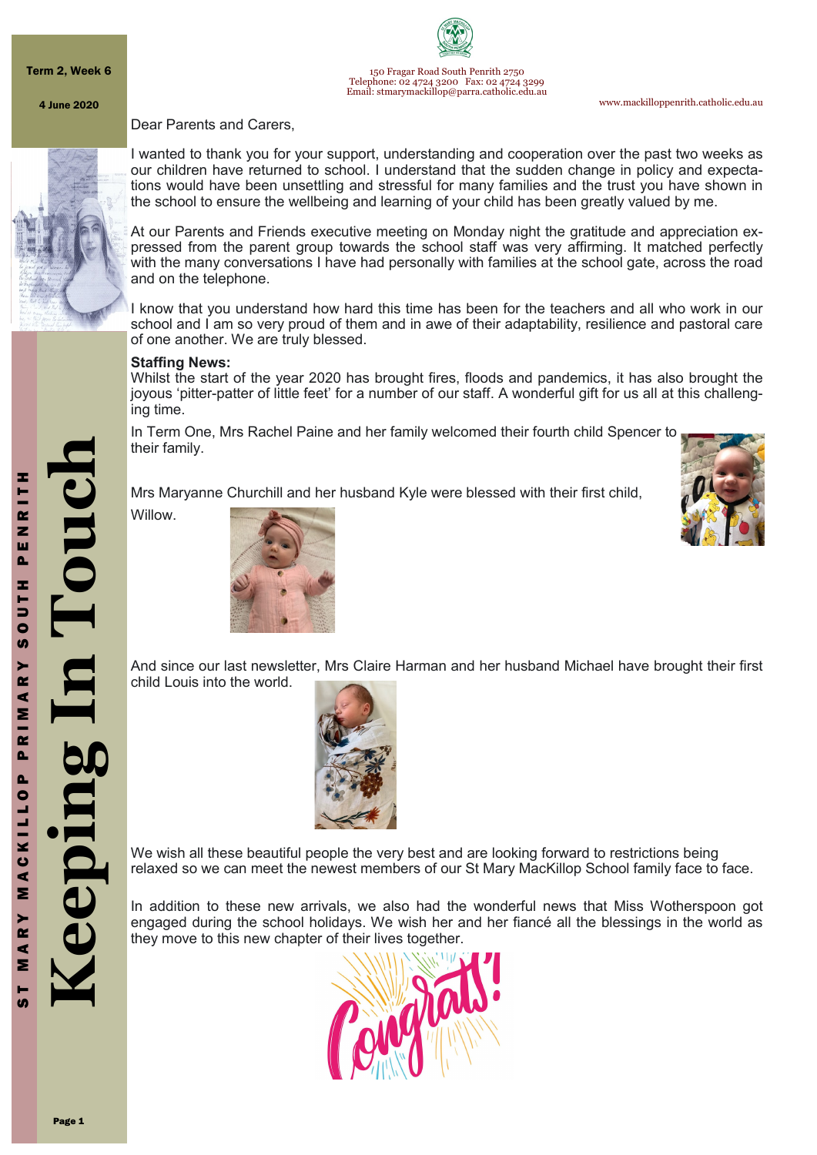Term 2, Week 6





150 Fragar Road South Penrith 2750 Telephone: 02 4724 3200 Fax: 02 4724 3299 Email: stmarymackillop@parra.catholic.edu.au

www.mackilloppenrith.catholic.edu.au

#### Dear Parents and Carers,



I wanted to thank you for your support, understanding and cooperation over the past two weeks as our children have returned to school. I understand that the sudden change in policy and expectations would have been unsettling and stressful for many families and the trust you have shown in the school to ensure the wellbeing and learning of your child has been greatly valued by me.

At our Parents and Friends executive meeting on Monday night the gratitude and appreciation expressed from the parent group towards the school staff was very affirming. It matched perfectly with the many conversations I have had personally with families at the school gate, across the road and on the telephone.

I know that you understand how hard this time has been for the teachers and all who work in our school and I am so very proud of them and in awe of their adaptability, resilience and pastoral care of one another. We are truly blessed.

#### **Staffing News:**

Whilst the start of the year 2020 has brought fires, floods and pandemics, it has also brought the joyous 'pitter-patter of little feet' for a number of our staff. A wonderful gift for us all at this challenging time.

In Term One, Mrs Rachel Paine and her family welcomed their fourth child Spencer to their family.

Mrs Maryanne Churchill and her husband Kyle were blessed with their first child,

Willow.





And since our last newsletter, Mrs Claire Harman and her husband Michael have brought their first child Louis into the world.



We wish all these beautiful people the very best and are looking forward to restrictions being relaxed so we can meet the newest members of our St Mary MacKillop School family face to face.

In addition to these new arrivals, we also had the wonderful news that Miss Wotherspoon got engaged during the school holidays. We wish her and her fiancé all the blessings in the world as they move to this new chapter of their lives together.

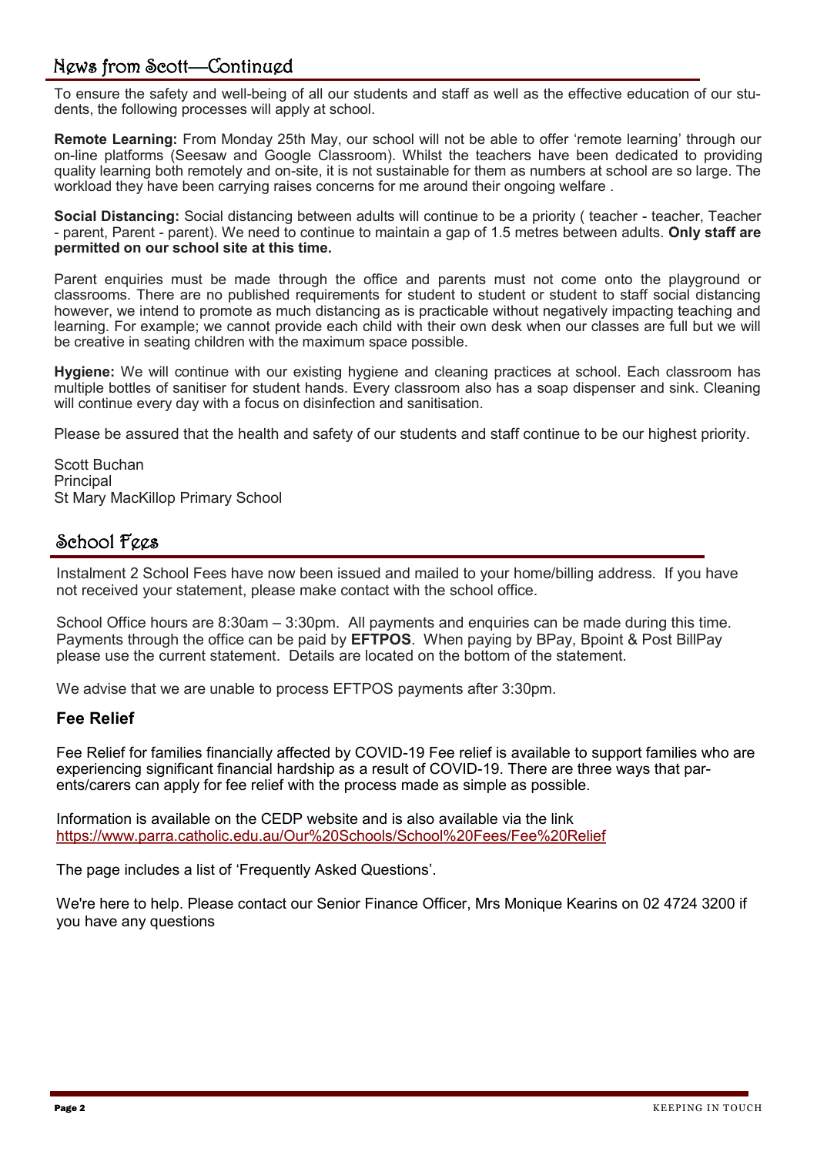# News from Scott—Continued

To ensure the safety and well-being of all our students and staff as well as the effective education of our students, the following processes will apply at school.

**Remote Learning:** From Monday 25th May, our school will not be able to offer 'remote learning' through our on-line platforms (Seesaw and Google Classroom). Whilst the teachers have been dedicated to providing quality learning both remotely and on-site, it is not sustainable for them as numbers at school are so large. The workload they have been carrying raises concerns for me around their ongoing welfare .

**Social Distancing:** Social distancing between adults will continue to be a priority ( teacher - teacher, Teacher - parent, Parent - parent). We need to continue to maintain a gap of 1.5 metres between adults. **Only staff are permitted on our school site at this time.**

Parent enquiries must be made through the office and parents must not come onto the playground or classrooms. There are no published requirements for student to student or student to staff social distancing however, we intend to promote as much distancing as is practicable without negatively impacting teaching and learning. For example; we cannot provide each child with their own desk when our classes are full but we will be creative in seating children with the maximum space possible.

**Hygiene:** We will continue with our existing hygiene and cleaning practices at school. Each classroom has multiple bottles of sanitiser for student hands. Every classroom also has a soap dispenser and sink. Cleaning will continue every day with a focus on disinfection and sanitisation.

Please be assured that the health and safety of our students and staff continue to be our highest priority.

Scott Buchan **Principal** St Mary MacKillop Primary School

# School Fees

Instalment 2 School Fees have now been issued and mailed to your home/billing address. If you have not received your statement, please make contact with the school office.

School Office hours are 8:30am – 3:30pm. All payments and enquiries can be made during this time. Payments through the office can be paid by **EFTPOS**. When paying by BPay, Bpoint & Post BillPay please use the current statement. Details are located on the bottom of the statement.

We advise that we are unable to process EFTPOS payments after 3:30pm.

### **Fee Relief**

Fee Relief for families financially affected by COVID-19 Fee relief is available to support families who are experiencing significant financial hardship as a result of COVID-19. There are three ways that parents/carers can apply for fee relief with the process made as simple as possible.

Information is available on the CEDP website and is also available via the link <https://www.parra.catholic.edu.au/Our%20Schools/School%20Fees/Fee%20Relief>

The page includes a list of 'Frequently Asked Questions'.

We're here to help. Please contact our Senior Finance Officer, Mrs Monique Kearins on 02 4724 3200 if you have any questions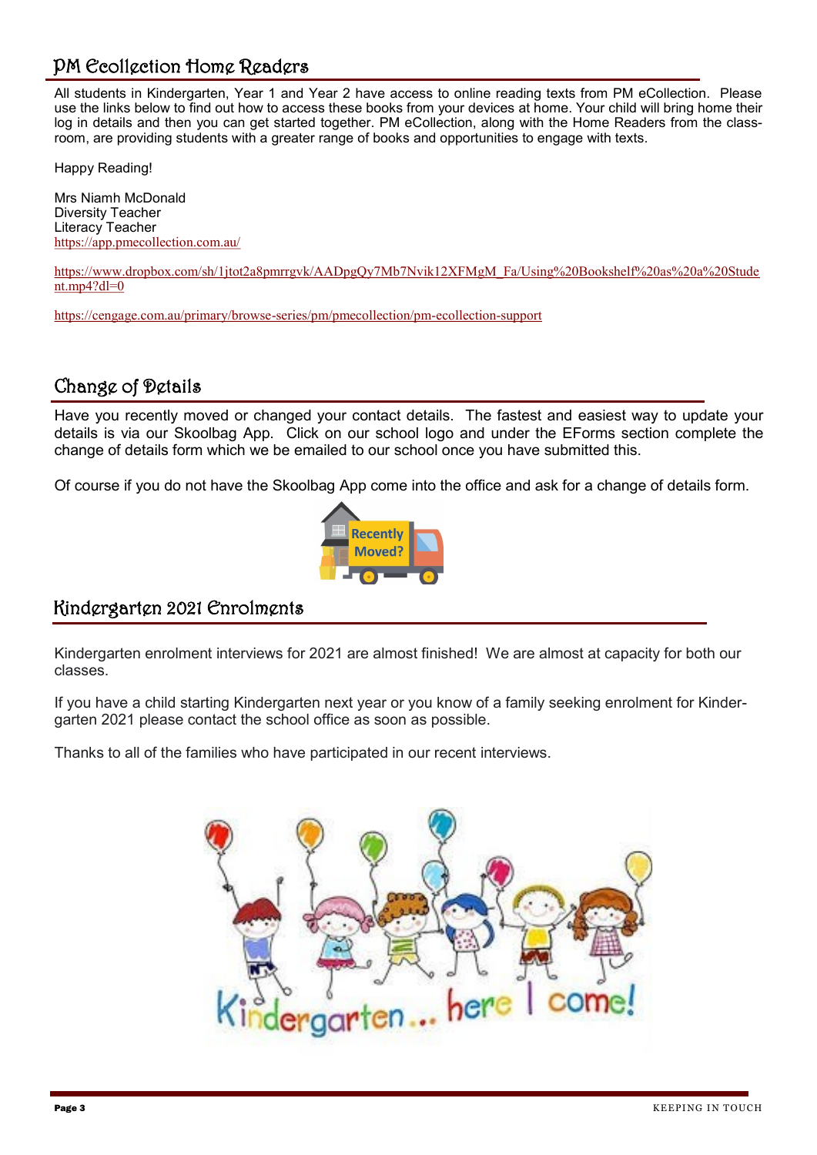# PM Ecollection Home Readers

All students in Kindergarten, Year 1 and Year 2 have access to online reading texts from PM eCollection. Please use the links below to find out how to access these books from your devices at home. Your child will bring home their log in details and then you can get started together. PM eCollection, along with the Home Readers from the classroom, are providing students with a greater range of books and opportunities to engage with texts.

Happy Reading!

Mrs Niamh McDonald Diversity Teacher Literacy Teacher <https://app.pmecollection.com.au/>

[https://www.dropbox.com/sh/1jtot2a8pmrrgvk/AADpgQy7Mb7Nvik12XFMgM\\_Fa/Using%20Bookshelf%20as%20a%20Stude](https://www.dropbox.com/sh/1jtot2a8pmrrgvk/AADpgQy7Mb7Nvik12XFMgM_Fa/Using%20Bookshelf%20as%20a%20Student.mp4?dl=0)  $ntmp4?dl=0$ 

[https://cengage.com.au/primary/browse](https://cengage.com.au/primary/browse-series/pm/pmecollection/pm-ecollection-support)-series/pm/pmecollection/pm-ecollection-support

### Change of Details

Have you recently moved or changed your contact details. The fastest and easiest way to update your details is via our Skoolbag App. Click on our school logo and under the EForms section complete the change of details form which we be emailed to our school once you have submitted this.

Of course if you do not have the Skoolbag App come into the office and ask for a change of details form.



## Kindergarten 2021 Enrolments

Kindergarten enrolment interviews for 2021 are almost finished! We are almost at capacity for both our classes.

If you have a child starting Kindergarten next year or you know of a family seeking enrolment for Kindergarten 2021 please contact the school office as soon as possible.

Thanks to all of the families who have participated in our recent interviews.

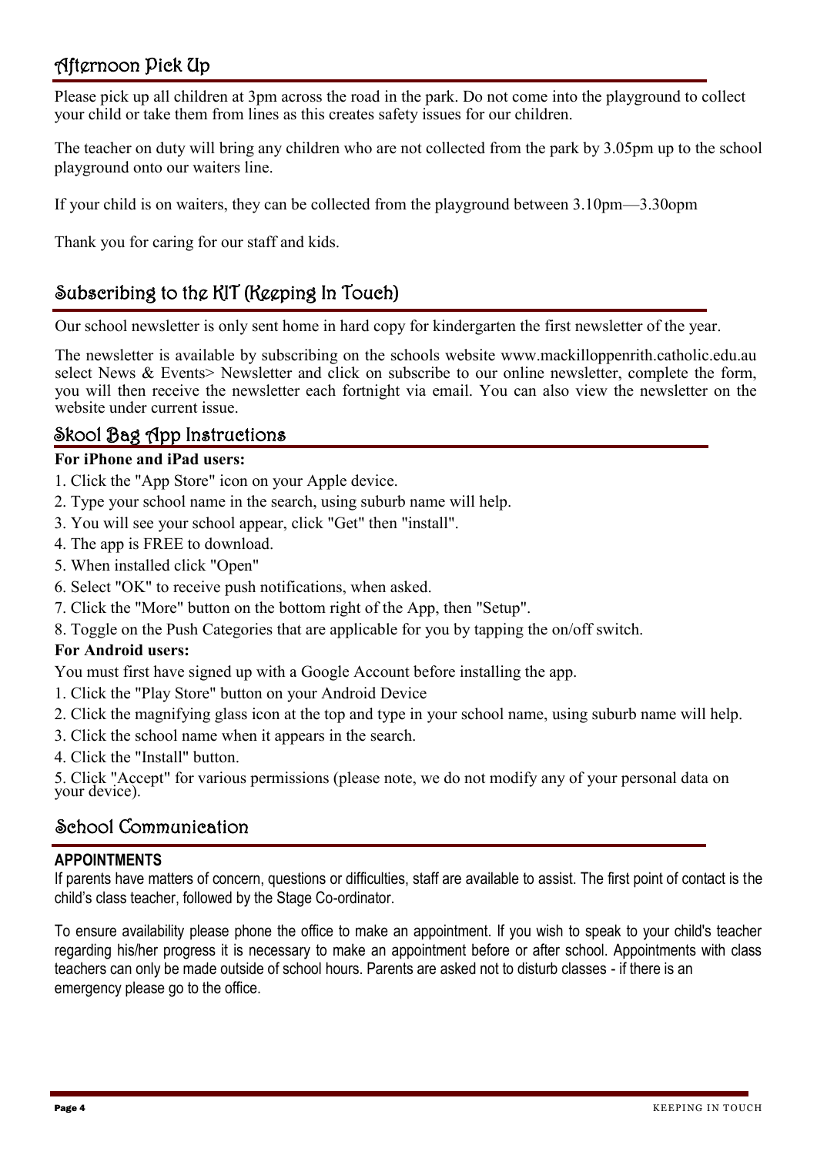# Afternoon Pick Up

Please pick up all children at 3pm across the road in the park. Do not come into the playground to collect your child or take them from lines as this creates safety issues for our children.

The teacher on duty will bring any children who are not collected from the park by 3.05pm up to the school playground onto our waiters line.

If your child is on waiters, they can be collected from the playground between 3.10pm—3.30opm

Thank you for caring for our staff and kids.

# Subscribing to the KIT (Keeping In Touch)

Our school newsletter is only sent home in hard copy for kindergarten the first newsletter of the year.

The newsletter is available by subscribing on the schools website www.mackilloppenrith.catholic.edu.au select News & Events> Newsletter and click on subscribe to our online newsletter, complete the form, you will then receive the newsletter each fortnight via email. You can also view the newsletter on the website under current issue.

### Skool Bag App Instructions

#### **For iPhone and iPad users:**

- 1. Click the "App Store" icon on your Apple device.
- 2. Type your school name in the search, using suburb name will help.
- 3. You will see your school appear, click "Get" then "install".
- 4. The app is FREE to download.
- 5. When installed click "Open"
- 6. Select "OK" to receive push notifications, when asked.
- 7. Click the "More" button on the bottom right of the App, then "Setup".
- 8. Toggle on the Push Categories that are applicable for you by tapping the on/off switch.

### **For Android users:**

You must first have signed up with a Google Account before installing the app.

- 1. Click the "Play Store" button on your Android Device
- 2. Click the magnifying glass icon at the top and type in your school name, using suburb name will help.
- 3. Click the school name when it appears in the search.
- 4. Click the "Install" button.

5. Click "Accept" for various permissions (please note, we do not modify any of your personal data on your device).

## School Communication

### **APPOINTMENTS**

If parents have matters of concern, questions or difficulties, staff are available to assist. The first point of contact is the child's class teacher, followed by the Stage Co-ordinator.

To ensure availability please phone the office to make an appointment. If you wish to speak to your child's teacher regarding his/her progress it is necessary to make an appointment before or after school. Appointments with class teachers can only be made outside of school hours. Parents are asked not to disturb classes - if there is an emergency please go to the office.